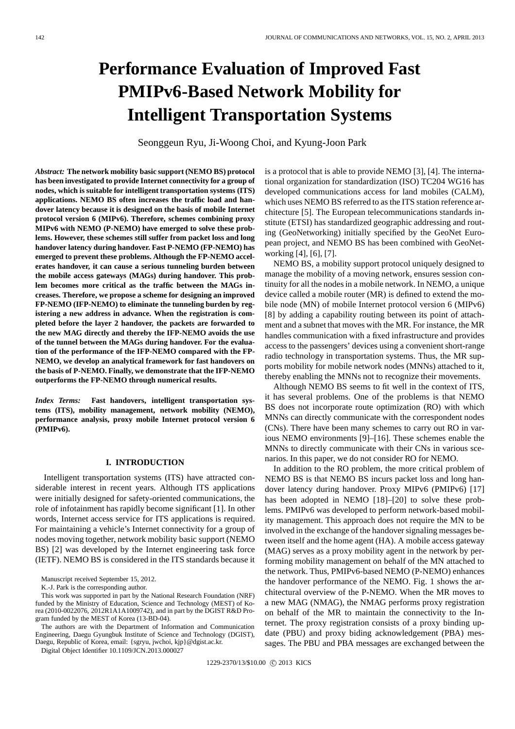# **Performance Evaluation of Improved Fast PMIPv6-Based Network Mobility for Intelligent Transportation Systems**

Seonggeun Ryu, Ji-Woong Choi, and Kyung-Joon Park

*Abstract:* **The network mobility basic support (NEMO BS) protocol has been investigated to provide Internet connectivity for a group of nodes, which is suitable for intelligent transportation systems (ITS) applications. NEMO BS often increases the traffic load and handover latency because it is designed on the basis of mobile Internet protocol version 6 (MIPv6). Therefore, schemes combining proxy MIPv6 with NEMO (P-NEMO) have emerged to solve these problems. However, these schemes still suffer from packet loss and long handover latency during handover. Fast P-NEMO (FP-NEMO) has emerged to prevent these problems. Although the FP-NEMO accelerates handover, it can cause a serious tunneling burden between the mobile access gateways (MAGs) during handover. This problem becomes more critical as the traffic between the MAGs increases. Therefore, we propose a scheme for designing an improved FP-NEMO (IFP-NEMO) to eliminate the tunneling burden by registering a new address in advance. When the registration is completed before the layer 2 handover, the packets are forwarded to the new MAG directly and thereby the IFP-NEMO avoids the use of the tunnel between the MAGs during handover. For the evaluation of the performance of the IFP-NEMO compared with the FP-NEMO, we develop an analytical framework for fast handovers on the basis of P-NEMO. Finally, we demonstrate that the IFP-NEMO outperforms the FP-NEMO through numerical results.**

*Index Terms:* **Fast handovers, intelligent transportation systems (ITS), mobility management, network mobility (NEMO), performance analysis, proxy mobile Internet protocol version 6 (PMIPv6).**

# **I. INTRODUCTION**

Intelligent transportation systems (ITS) have attracted considerable interest in recent years. Although ITS applications were initially designed for safety-oriented communications, the role of infotainment has rapidly become significant [1]. In other words, Internet access service for ITS applications is required. For maintaining a vehicle's Internet connectivity for a group of nodes moving together, network mobility basic support (NEMO BS) [2] was developed by the Internet engineering task force (IETF). NEMO BS is considered in the ITS standards because it

The authors are with the Department of Information and Communication Engineering, Daegu Gyungbuk Institute of Science and Technology (DGIST), Daegu, Republic of Korea, email: {sgryu, jwchoi, kjp}@dgist.ac.kr.

Digital Object Identifier 10.1109/JCN.2013.000027

is a protocol that is able to provide NEMO [3], [4]. The international organization for standardization (ISO) TC204 WG16 has developed communications access for land mobiles (CALM), which uses NEMO BS referred to as the ITS station reference architecture [5]. The European telecommunications standards institute (ETSI) has standardized geographic addressing and routing (GeoNetworking) initially specified by the GeoNet European project, and NEMO BS has been combined with GeoNetworking [4], [6], [7].

NEMO BS, a mobility support protocol uniquely designed to manage the mobility of a moving network, ensures session continuity for all the nodes in a mobile network. In NEMO, a unique device called a mobile router (MR) is defined to extend the mobile node (MN) of mobile Internet protocol version 6 (MIPv6) [8] by adding a capability routing between its point of attachment and a subnet that moves with the MR. For instance, the MR handles communication with a fixed infrastructure and provides access to the passengers' devices using a convenient short-range radio technology in transportation systems. Thus, the MR supports mobility for mobile network nodes (MNNs) attached to it, thereby enabling the MNNs not to recognize their movements.

Although NEMO BS seems to fit well in the context of ITS, it has several problems. One of the problems is that NEMO BS does not incorporate route optimization (RO) with which MNNs can directly communicate with the correspondent nodes (CNs). There have been many schemes to carry out RO in various NEMO environments [9]–[16]. These schemes enable the MNNs to directly communicate with their CNs in various scenarios. In this paper, we do not consider RO for NEMO.

In addition to the RO problem, the more critical problem of NEMO BS is that NEMO BS incurs packet loss and long handover latency during handover. Proxy MIPv6 (PMIPv6) [17] has been adopted in NEMO [18]–[20] to solve these problems. PMIPv6 was developed to perform network-based mobility management. This approach does not require the MN to be involved in the exchange of the handover signaling messages between itself and the home agent (HA). A mobile access gateway (MAG) serves as a proxy mobility agent in the network by performing mobility management on behalf of the MN attached to the network. Thus, PMIPv6-based NEMO (P-NEMO) enhances the handover performance of the NEMO. Fig. 1 shows the architectural overview of the P-NEMO. When the MR moves to a new MAG (NMAG), the NMAG performs proxy registration on behalf of the MR to maintain the connectivity to the Internet. The proxy registration consists of a proxy binding update (PBU) and proxy biding acknowledgement (PBA) messages. The PBU and PBA messages are exchanged between the

Manuscript received September 15, 2012.

K.-J. Park is the corresponding author.

This work was supported in part by the National Research Foundation (NRF) funded by the Ministry of Education, Science and Technology (MEST) of Korea (2010-0022076, 2012R1A1A1009742), and in part by the DGIST R&D Program funded by the MEST of Korea (13-BD-04).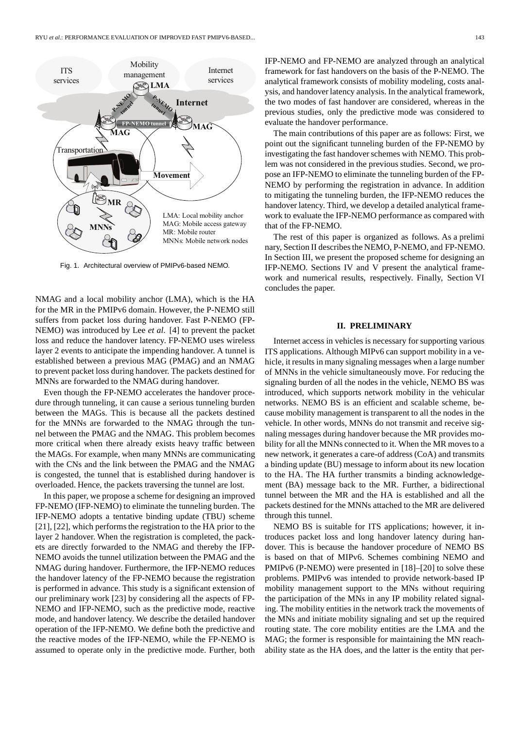

Fig. 1. Architectural overview of PMIPv6-based NEMO.

NMAG and a local mobility anchor (LMA), which is the HA for the MR in the PMIPv6 domain. However, the P-NEMO still suffers from packet loss during handover. Fast P-NEMO (FP-NEMO) was introduced by Lee *et al*. [4] to prevent the packet loss and reduce the handover latency. FP-NEMO uses wireless layer 2 events to anticipate the impending handover. A tunnel is established between a previous MAG (PMAG) and an NMAG to prevent packet loss during handover. The packets destined for MNNs are forwarded to the NMAG during handover.

Even though the FP-NEMO accelerates the handover procedure through tunneling, it can cause a serious tunneling burden between the MAGs. This is because all the packets destined for the MNNs are forwarded to the NMAG through the tunnel between the PMAG and the NMAG. This problem becomes more critical when there already exists heavy traffic between the MAGs. For example, when many MNNs are communicating with the CNs and the link between the PMAG and the NMAG is congested, the tunnel that is established during handover is overloaded. Hence, the packets traversing the tunnel are lost.

In this paper, we propose a scheme for designing an improved FP-NEMO (IFP-NEMO) to eliminate the tunneling burden. The IFP-NEMO adopts a tentative binding update (TBU) scheme [21], [22], which performs the registration to the HA prior to the layer 2 handover. When the registration is completed, the packets are directly forwarded to the NMAG and thereby the IFP-NEMO avoids the tunnel utilization between the PMAG and the NMAG during handover. Furthermore, the IFP-NEMO reduces the handover latency of the FP-NEMO because the registration is performed in advance. This study is a significant extension of our preliminary work [23] by considering all the aspects of FP-NEMO and IFP-NEMO, such as the predictive mode, reactive mode, and handover latency. We describe the detailed handover operation of the IFP-NEMO. We define both the predictive and the reactive modes of the IFP-NEMO, while the FP-NEMO is assumed to operate only in the predictive mode. Further, both IFP-NEMO and FP-NEMO are analyzed through an analytical framework for fast handovers on the basis of the P-NEMO. The analytical framework consists of mobility modeling, costs analysis, and handover latency analysis. In the analytical framework, the two modes of fast handover are considered, whereas in the previous studies, only the predictive mode was considered to evaluate the handover performance.

The main contributions of this paper are as follows: First, we point out the significant tunneling burden of the FP-NEMO by investigating the fast handover schemes with NEMO. This problem was not considered in the previous studies. Second, we propose an IFP-NEMO to eliminate the tunneling burden of the FP-NEMO by performing the registration in advance. In addition to mitigating the tunneling burden, the IFP-NEMO reduces the handover latency. Third, we develop a detailed analytical framework to evaluate the IFP-NEMO performance as compared with that of the FP-NEMO.

The rest of this paper is organized as follows. As a prelimi nary, Section II describes the NEMO, P-NEMO, and FP-NEMO. In Section III, we present the proposed scheme for designing an IFP-NEMO. Sections IV and V present the analytical framework and numerical results, respectively. Finally, Section VI concludes the paper.

# **II. PRELIMINARY**

Internet access in vehicles is necessary for supporting various ITS applications. Although MIPv6 can support mobility in a vehicle, it results in many signaling messages when a large number of MNNs in the vehicle simultaneously move. For reducing the signaling burden of all the nodes in the vehicle, NEMO BS was introduced, which supports network mobility in the vehicular networks. NEMO BS is an efficient and scalable scheme, because mobility management is transparent to all the nodes in the vehicle. In other words, MNNs do not transmit and receive signaling messages during handover because the MR provides mobility for all the MNNs connected to it. When the MR moves to a new network, it generates a care-of address (CoA) and transmits a binding update (BU) message to inform about its new location to the HA. The HA further transmits a binding acknowledgement (BA) message back to the MR. Further, a bidirectional tunnel between the MR and the HA is established and all the packets destined for the MNNs attached to the MR are delivered through this tunnel.

NEMO BS is suitable for ITS applications; however, it introduces packet loss and long handover latency during handover. This is because the handover procedure of NEMO BS is based on that of MIPv6. Schemes combining NEMO and PMIPv6 (P-NEMO) were presented in [18]–[20] to solve these problems. PMIPv6 was intended to provide network-based IP mobility management support to the MNs without requiring the participation of the MNs in any IP mobility related signaling. The mobility entities in the network track the movements of the MNs and initiate mobility signaling and set up the required routing state. The core mobility entities are the LMA and the MAG; the former is responsible for maintaining the MN reachability state as the HA does, and the latter is the entity that per-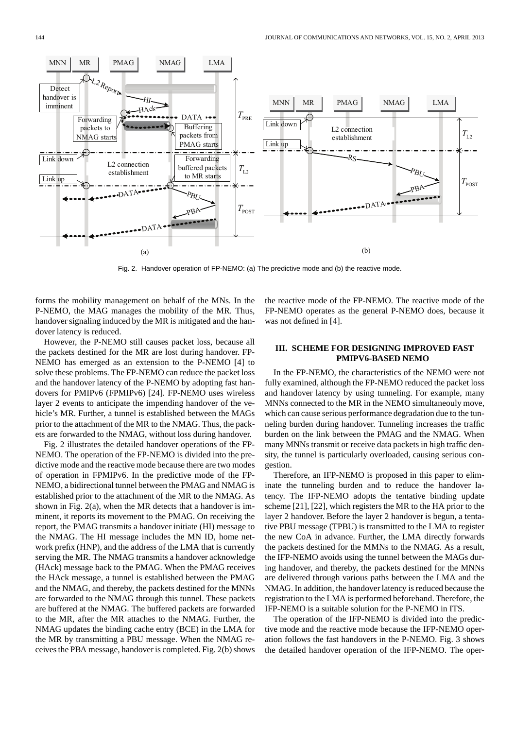

Fig. 2. Handover operation of FP-NEMO: (a) The predictive mode and (b) the reactive mode.

forms the mobility management on behalf of the MNs. In the P-NEMO, the MAG manages the mobility of the MR. Thus, handover signaling induced by the MR is mitigated and the handover latency is reduced.

However, the P-NEMO still causes packet loss, because all the packets destined for the MR are lost during handover. FP-NEMO has emerged as an extension to the P-NEMO [4] to solve these problems. The FP-NEMO can reduce the packet loss and the handover latency of the P-NEMO by adopting fast handovers for PMIPv6 (FPMIPv6) [24]. FP-NEMO uses wireless layer 2 events to anticipate the impending handover of the vehicle's MR. Further, a tunnel is established between the MAGs prior to the attachment of the MR to the NMAG. Thus, the packets are forwarded to the NMAG, without loss during handover.

Fig. 2 illustrates the detailed handover operations of the FP-NEMO. The operation of the FP-NEMO is divided into the predictive mode and the reactive mode because there are two modes of operation in FPMIPv6. In the predictive mode of the FP-NEMO, a bidirectional tunnel between the PMAG and NMAG is established prior to the attachment of the MR to the NMAG. As shown in Fig. 2(a), when the MR detects that a handover is imminent, it reports its movement to the PMAG. On receiving the report, the PMAG transmits a handover initiate (HI) message to the NMAG. The HI message includes the MN ID, home network prefix (HNP), and the address of the LMA that is currently serving the MR. The NMAG transmits a handover acknowledge (HAck) message back to the PMAG. When the PMAG receives the HAck message, a tunnel is established between the PMAG and the NMAG, and thereby, the packets destined for the MNNs are forwarded to the NMAG through this tunnel. These packets are buffered at the NMAG. The buffered packets are forwarded to the MR, after the MR attaches to the NMAG. Further, the NMAG updates the binding cache entry (BCE) in the LMA for the MR by transmitting a PBU message. When the NMAG receives the PBA message, handover is completed. Fig. 2(b) shows

the reactive mode of the FP-NEMO. The reactive mode of the FP-NEMO operates as the general P-NEMO does, because it was not defined in [4].

# **III. SCHEME FOR DESIGNING IMPROVED FAST PMIPV6-BASED NEMO**

In the FP-NEMO, the characteristics of the NEMO were not fully examined, although the FP-NEMO reduced the packet loss and handover latency by using tunneling. For example, many MNNs connected to the MR in the NEMO simultaneouly move, which can cause serious performance degradation due to the tunneling burden during handover. Tunneling increases the traffic burden on the link between the PMAG and the NMAG. When many MNNs transmit or receive data packets in high traffic density, the tunnel is particularly overloaded, causing serious congestion.

Therefore, an IFP-NEMO is proposed in this paper to eliminate the tunneling burden and to reduce the handover latency. The IFP-NEMO adopts the tentative binding update scheme [21], [22], which registers the MR to the HA prior to the layer 2 handover. Before the layer 2 handover is begun, a tentative PBU message (TPBU) is transmitted to the LMA to register the new CoA in advance. Further, the LMA directly forwards the packets destined for the MMNs to the NMAG. As a result, the IFP-NEMO avoids using the tunnel between the MAGs during handover, and thereby, the packets destined for the MNNs are delivered through various paths between the LMA and the NMAG. In addition, the handover latency is reduced because the registration to the LMA is performed beforehand. Therefore, the IFP-NEMO is a suitable solution for the P-NEMO in ITS.

The operation of the IFP-NEMO is divided into the predictive mode and the reactive mode because the IFP-NEMO operation follows the fast handovers in the P-NEMO. Fig. 3 shows the detailed handover operation of the IFP-NEMO. The oper-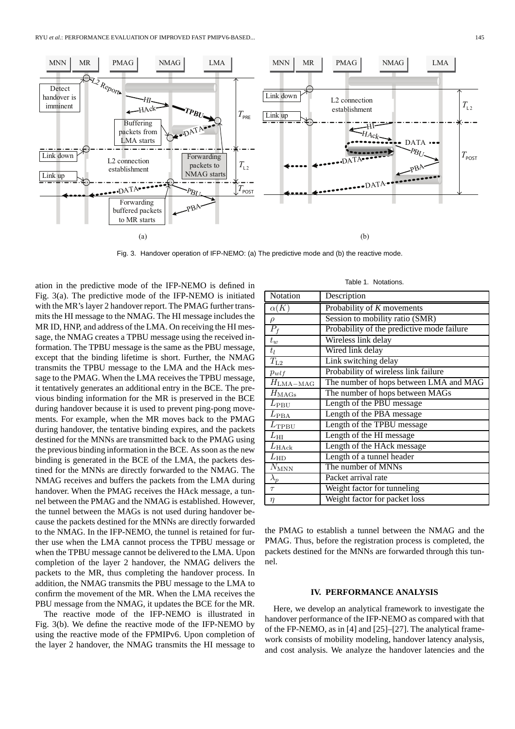

Fig. 3. Handover operation of IFP-NEMO: (a) The predictive mode and (b) the reactive mode.

ation in the predictive mode of the IFP-NEMO is defined in Fig. 3(a). The predictive mode of the IFP-NEMO is initiated with the MR's layer 2 handover report. The PMAG further transmits the HI message to the NMAG. The HI message includes the MR ID, HNP, and address of the LMA. On receiving the HI message, the NMAG creates a TPBU message using the received information. The TPBU message is the same as the PBU message, except that the binding lifetime is short. Further, the NMAG transmits the TPBU message to the LMA and the HAck message to the PMAG. When the LMA receives the TPBU message, it tentatively generates an additional entry in the BCE. The previous binding information for the MR is preserved in the BCE during handover because it is used to prevent ping-pong movements. For example, when the MR moves back to the PMAG during handover, the tentative binding expires, and the packets destined for the MNNs are transmitted back to the PMAG using the previous binding information in the BCE. As soon as the new binding is generated in the BCE of the LMA, the packets destined for the MNNs are directly forwarded to the NMAG. The NMAG receives and buffers the packets from the LMA during handover. When the PMAG receives the HAck message, a tunnel between the PMAG and the NMAG is established. However, the tunnel between the MAGs is not used during handover because the packets destined for the MNNs are directly forwarded to the NMAG. In the IFP-NEMO, the tunnel is retained for further use when the LMA cannot process the TPBU message or when the TPBU message cannot be delivered to the LMA. Upon completion of the layer 2 handover, the NMAG delivers the packets to the MR, thus completing the handover process. In addition, the NMAG transmits the PBU message to the LMA to confirm the movement of the MR. When the LMA receives the PBU message from the NMAG, it updates the BCE for the MR.

The reactive mode of the IFP-NEMO is illustrated in Fig. 3(b). We define the reactive mode of the IFP-NEMO by using the reactive mode of the FPMIPv6. Upon completion of the layer 2 handover, the NMAG transmits the HI message to

| Table 1. Notations.         |                                            |
|-----------------------------|--------------------------------------------|
| <b>Notation</b>             | Description                                |
| $\alpha(K)$                 | Probability of $K$ movements               |
| $\rho$                      | Session to mobility ratio (SMR)            |
| $\overline{P_f}$            | Probability of the predictive mode failure |
| $t_{\it w}$                 | Wireless link delay                        |
| $t_l$                       | Wired link delay                           |
| $T_{\rm L2}$                | Link switching delay                       |
| $p_{wlf}$                   | Probability of wireless link failure       |
| $H_{\text{LMA}-\text{MAG}}$ | The number of hops between LMA and MAG     |
| $H_{\rm MAGs}$              | The number of hops between MAGs            |
| $L_{\rm PBU}$               | Length of the PBU message                  |
| $L_{\rm PBA}$               | Length of the PBA message                  |
| $L_{\rm TPBU}$              | Length of the TPBU message                 |
| $L_{\rm HI}$                | Length of the HI message                   |
| $L_{\rm H Ack}$             | Length of the HAck message                 |
| $L_{\rm HD}$                | Length of a tunnel header                  |
| $N_{\rm MNN}$               | The number of MNNs                         |
| $\lambda_p$                 | Packet arrival rate                        |
| $\tau$                      | Weight factor for tunneling                |
| $\eta$                      | Weight factor for packet loss              |

the PMAG to establish a tunnel between the NMAG and the PMAG. Thus, before the registration process is completed, the packets destined for the MNNs are forwarded through this tunnel.

#### **IV. PERFORMANCE ANALYSIS**

Here, we develop an analytical framework to investigate the handover performance of the IFP-NEMO as compared with that of the FP-NEMO, as in [4] and [25]–[27]. The analytical framework consists of mobility modeling, handover latency analysis, and cost analysis. We analyze the handover latencies and the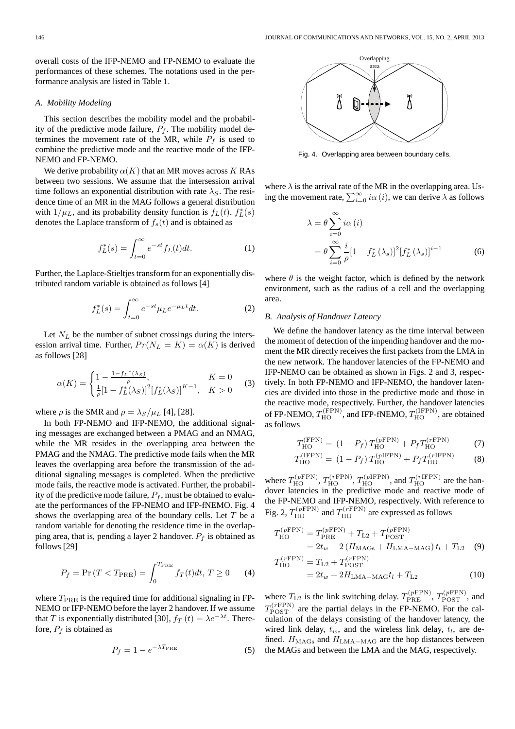overall costs of the IFP-NEMO and FP-NEMO to evaluate the performances of these schemes. The notations used in the performance analysis are listed in Table 1.

#### *A. Mobility Modeling*

This section describes the mobility model and the probability of the predictive mode failure,  $P_f$ . The mobility model determines the movement rate of the MR, while  $P_f$  is used to combine the predictive mode and the reactive mode of the IFP-NEMO and FP-NEMO.

We derive probability  $\alpha(K)$  that an MR moves across K RAs between two sessions. We assume that the intersession arrival time follows an exponential distribution with rate  $\lambda_{\rm S}$ . The residence time of an MR in the MAG follows a general distribution with  $1/\mu_L$ , and its probability density function is  $f_L(t)$ .  $f_L^*(s)$ denotes the Laplace transform of  $f_s(t)$  and is obtained as

$$
f_L^*(s) = \int_{t=0}^{\infty} e^{-st} f_L(t) dt.
$$
 (1)

Further, the Laplace-Stieltjes transform for an exponentially distributed random variable is obtained as follows [4]

$$
f_L^*(s) = \int_{t=0}^{\infty} e^{-st} \mu_L e^{-\mu_L t} dt.
$$
 (2)

Let  $N_L$  be the number of subnet crossings during the intersession arrival time. Further,  $Pr(N_L = K) = \alpha(K)$  is derived as follows [28]

$$
\alpha(K) = \begin{cases} 1 - \frac{1 - f_L^*(\lambda_S)}{\rho}, & K = 0\\ \frac{1}{\rho} [1 - f_L^*(\lambda_S)]^2 [f_L^*(\lambda_S)]^{K-1}, & K > 0 \end{cases}
$$
(3)

where  $\rho$  is the SMR and  $\rho = \lambda_S / \mu_L$  [4], [28].

In both FP-NEMO and IFP-NEMO, the additional signaling messages are exchanged between a PMAG and an NMAG, while the MR resides in the overlapping area between the PMAG and the NMAG. The predictive mode fails when the MR leaves the overlapping area before the transmission of the additional signaling messages is completed. When the predictive mode fails, the reactive mode is activated. Further, the probability of the predictive mode failure,  $P_f$ , must be obtained to evaluate the performances of the FP-NEMO and IFP-fNEMO. Fig. 4 shows the overlapping area of the boundary cells. Let  $T$  be a random variable for denoting the residence time in the overlapping area, that is, pending a layer 2 handover.  $P_f$  is obtained as follows [29]

$$
P_f = \Pr(T < T_{\text{PRE}}) = \int_0^{T_{\text{PRE}}} f_T(t)dt, \, T \ge 0 \tag{4}
$$

where  $T_{\text{PRE}}$  is the required time for additional signaling in FP-NEMO or IFP-NEMO before the layer 2 handover. If we assume that T is exponentially distributed [30],  $f_T(t) = \lambda e^{-\lambda t}$ . Therefore,  $P_f$  is obtained as

$$
P_f = 1 - e^{-\lambda T_{\text{PRE}}} \tag{5}
$$



Fig. 4. Overlapping area between boundary cells.

where  $\lambda$  is the arrival rate of the MR in the overlapping area. Using the movement rate,  $\sum_{i=0}^{\infty} i\alpha(i)$ , we can derive  $\lambda$  as follows

$$
\lambda = \theta \sum_{i=0}^{\infty} i\alpha(i)
$$
  
= 
$$
\theta \sum_{i=0}^{\infty} \frac{i}{\rho} [1 - f_L^*(\lambda_s)]^2 [f_L^*(\lambda_s)]^{i-1}
$$
 (6)

where  $\theta$  is the weight factor, which is defined by the network environment, such as the radius of a cell and the overlapping area.

## *B. Analysis of Handover Latency*

We define the handover latency as the time interval between the moment of detection of the impending handover and the moment the MR directly receives the first packets from the LMA in the new network. The handover latencies of the FP-NEMO and IFP-NEMO can be obtained as shown in Figs. 2 and 3, respectively. In both FP-NEMO and IFP-NEMO, the handover latencies are divided into those in the predictive mode and those in the reactive mode, respectively. Further, the handover latencies of FP-NEMO,  $T_{\rm HO}^{\rm (FPN)}$ , and IFP-fNEMO,  $T_{\rm HO}^{\rm (IFPN)}$ , are obtained as follows

$$
T_{\rm HO}^{\rm (FPN)} = (1 - P_f) T_{\rm HO}^{\rm (pFPN)} + P_f T_{\rm HO}^{\rm (rFPN)} \tag{7}
$$

$$
T_{\rm HO}^{\rm (IFPN)} = (1 - P_f) T_{\rm HO}^{\rm (pIFPN)} + P_f T_{\rm HO}^{\rm (rIFPN)} \tag{8}
$$

where  $T_{\rm HO}^{(pFPN)}, T_{\rm HO}^{(rFPN)}, T_{\rm HO}^{(pIFPN)}$ , and  $T_{\rm HO}^{(rIFPN)}$  are the handover latencies in the predictive mode and reactive mode of the FP-NEMO and IFP-NEMO, respectively. With reference to Fig. 2,  $T_{\rm HO}^{(pFPN)}$  and  $T_{\rm HO}^{(rFPN)}$  are expressed as follows

$$
T_{\text{HO}}^{(pFPN)} = T_{\text{PRE}}^{(pFPN)} + T_{\text{L2}} + T_{\text{POST}}^{(pFPN)}
$$
  
= 2t<sub>w</sub> + 2 (H<sub>MAGs</sub> + H<sub>LMA-MAG</sub>) t<sub>l</sub> + T<sub>L2</sub> (9)  

$$
T_{\text{HO}}^{(rFPN)} = T_{\text{L2}} + T_{\text{POST}}^{(rFPN)}
$$

$$
= 2t_w + 2H_{\text{LMA}-\text{MAG}}t_l + T_{\text{L2}} \tag{10}
$$

where  $T_{L2}$  is the link switching delay.  $T_{PRE}^{(pFPN)}$ ,  $T_{POST}^{(pFPN)}$ , and  $T_{\text{POST}}^{(r\text{FPN})}$  are the partial delays in the FP-NEMO. For the calculation of the delays consisting of the handover latency, the wired link delay,  $t_w$ , and the wireless link delay,  $t_l$ , are defined.  $H_{\text{MAGs}}$  and  $H_{\text{LMA}-\text{MAG}}$  are the hop distances between the MAGs and between the LMA and the MAG, respectively.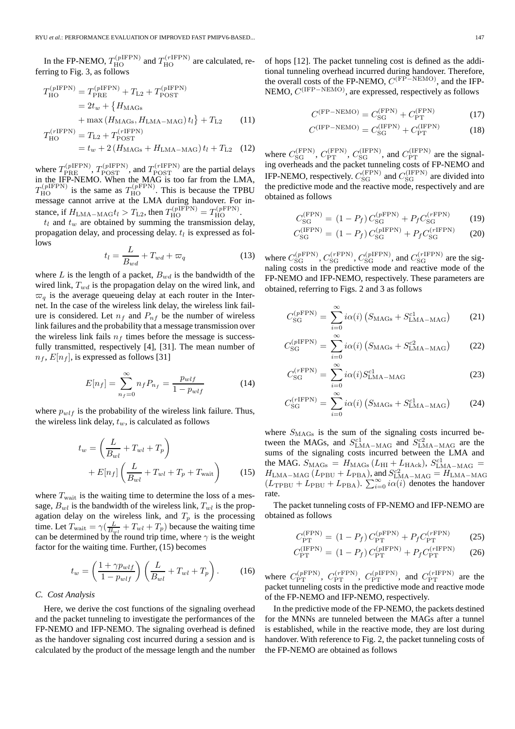In the FP-NEMO,  $T_{\text{HO}}^{(p\text{IFPN})}$  and  $T_{\text{HO}}^{(r\text{IFPN})}$  are calculated, referring to Fig. 3, as follows

$$
T_{\rm HO}^{\rm (plFPN)} = T_{\rm PRE}^{\rm (plFPN)} + T_{\rm L2} + T_{\rm POST}^{\rm (plFPN)}
$$
  
= 2t<sub>w</sub> + {*H*<sub>MAGs</sub>  
+ max (*H*<sub>MAGs</sub>, *H*<sub>LMA–MAG</sub>) *t*<sub>l</sub>} + *T*<sub>L2</sub> (11)  

$$
T_{\rm HO}^{\rm (rIFPN)} = T_{\rm L2} + T_{\rm POST}^{\rm (rIFPN)}
$$

$$
= t_w + 2 \left( H_{\text{MAGs}} + H_{\text{LMA}-\text{MAG}} \right) t_l + T_{\text{L2}} \quad (12)
$$

where  $T_{PRE}^{(pIFPN)}$ ,  $T_{POST}^{(pIFPN)}$ , and  $T_{POST}^{(rIFPN)}$  are the partial delays in the IFP-NEMO. When the MAG is too far from the LMA,  $T_{\text{HO}}^{(pIPPN)}$  is the same as  $T_{\text{HO}}^{(pFPN)}$ . This is because the TPBU message cannot arrive at the LMA during handover. For instance, if  $H_{\text{LMA}-\text{MAG}}t_l > T_{\text{L2}}$ , then  $T_{\text{HO}}^{(pIFPN)} = T_{\text{HO}}^{(pFPN)}$ .

 $t_l$  and  $t_w$  are obtained by summing the transmission delay, propagation delay, and processing delay.  $t_l$  is expressed as follows

$$
t_l = \frac{L}{B_{wd}} + T_{wd} + \varpi_q \tag{13}
$$

where  $L$  is the length of a packet,  $B_{wd}$  is the bandwidth of the wired link,  $T_{wd}$  is the propagation delay on the wired link, and  $\overline{w}_q$  is the average queueing delay at each router in the Internet. In the case of the wireless link delay, the wireless link failure is considered. Let  $n_f$  and  $P_{nf}$  be the number of wireless link failures and the probability that a message transmission over the wireless link fails  $n_f$  times before the message is successfully transmitted, respectively [4], [31]. The mean number of  $n_f$ ,  $E[n_f]$ , is expressed as follows [31]

$$
E[n_f] = \sum_{n_f=0}^{\infty} n_f P_{n_f} = \frac{p_{wlf}}{1 - p_{wlf}}
$$
 (14)

where  $p_{w l f}$  is the probability of the wireless link failure. Thus, the wireless link delay,  $t_w$ , is calculated as follows

$$
t_w = \left(\frac{L}{B_{wl}} + T_{wl} + T_p\right)
$$

$$
+ E[n_f] \left(\frac{L}{B_{wl}} + T_{wl} + T_p + T_{wait}\right)
$$
(15)

where  $T_{\mathrm{wait}}$  is the waiting time to determine the loss of a message,  $B_{wl}$  is the bandwidth of the wireless link,  $T_{wl}$  is the propagation delay on the wireless link, and  $T_p$  is the processing time. Let  $T_{\text{wait}} = \gamma \left( \frac{L}{B_{wl}} + T_{wl} + T_p \right)$  because the waiting time can be determined by the round trip time, where  $\gamma$  is the weight factor for the waiting time. Further, (15) becomes

$$
t_w = \left(\frac{1 + \gamma p_{wlf}}{1 - p_{wlf}}\right) \left(\frac{L}{B_{wl}} + T_{wl} + T_p\right). \tag{16}
$$

#### *C. Cost Analysis*

Here, we derive the cost functions of the signaling overhead and the packet tunneling to investigate the performances of the FP-NEMO and IFP-NEMO. The signaling overhead is defined as the handover signaling cost incurred during a session and is calculated by the product of the message length and the number of hops [12]. The packet tunneling cost is defined as the additional tunneling overhead incurred during handover. Therefore, the overall costs of the FP-NEMO,  $C^{(FP-NEMO)}$ , and the IFP-NEMO,  $C^{(\text{IFP}-\text{NEMO})}$ , are expressed, respectively as follows

$$
C^{(\text{FP}-\text{NEMO})} = C_{\text{SG}}^{(\text{FPN})} + C_{\text{PT}}^{(\text{FPN})}
$$
 (17)

$$
C^{(\text{IFP}-\text{NEMO})} = C_{\text{SG}}^{(\text{IFPN})} + C_{\text{PT}}^{(\text{IFPN})} \tag{18}
$$

where  $C_{SG}^{(FPN)}$ ,  $C_{PT}^{(FPN)}$ ,  $C_{SG}^{(IFPN)}$ , and  $C_{PT}^{(IFPN)}$  are the signaling overheads and the packet tunneling costs of FP-NEMO and IFP-NEMO, respectively.  $C_{\rm SG}^{\rm (FPN)}$  and  $C_{\rm SG}^{\rm (IFPN)}$  are divided into the predictive mode and the reactive mode, respectively and are obtained as follows

$$
C_{\rm SG}^{\rm (FPN)} = (1 - P_f) C_{\rm SG}^{\rm (pFPN)} + P_f C_{\rm SG}^{\rm (rFPN)} \tag{19}
$$

$$
C_{\rm SG}^{\rm (IFPN)} = (1 - P_f) C_{\rm SG}^{\rm (plFPN)} + P_f C_{\rm SG}^{\rm (rIFPN)} \tag{20}
$$

where  $C_{SG}^{(pFPN)}$ ,  $C_{SG}^{(rFPN)}$ ,  $C_{SG}^{(pIFPN)}$ , and  $C_{SG}^{(rIFPN)}$  are the signaling costs in the predictive mode and reactive mode of the FP-NEMO and IFP-NEMO, respectively. These parameters are obtained, referring to Figs. 2 and 3 as follows

$$
C_{\rm SG}^{(pFPN)} = \sum_{i=0}^{\infty} i\alpha(i) \left( S_{\rm MAGs} + S_{\rm LMA-MAG}^{c1} \right) \tag{21}
$$

$$
C_{\rm SG}^{(pIPPN)} = \sum_{i=0}^{\infty} i\alpha(i) \left( S_{\rm MAGs} + S_{\rm LMA-MAG}^{c2} \right) \tag{22}
$$

$$
C_{\rm SG}^{(rFPN)} = \sum_{i=0}^{\infty} i\alpha(i) S_{\rm LMA-MAG}^{c1}
$$
 (23)

$$
C_{\rm SG}^{(rIFPN)} = \sum_{i=0}^{\infty} i\alpha(i) \left( S_{\rm MAGs} + S_{\rm LMA-MAG}^{c1} \right) \tag{24}
$$

where  $S_{\text{MAGs}}$  is the sum of the signaling costs incurred between the MAGs, and  $S_{\text{LMA}-\text{MAG}}^{c1}$  and  $S_{\text{LMA}-\text{MAG}}^{c2}$  are the sums of the signaling costs incurred between the LMA and the MAG.  $S_{\text{MAGs}} = H_{\text{MAGs}} (L_{\text{HI}} + L_{\text{HAck}})$ ,  $S_{\text{LMA-MAG}}^{\text{cl}} =$  $H_{\text{LMA}-\text{MAG}}$  ( $L_{\text{PBU}}+L_{\text{PBA}}$ ), and  $S_{\text{LMA}-\text{MAG}}^{c2}=H_{\text{LMA}-\text{MAG}}$  $(L_{\text{TPBU}} + L_{\text{PBU}} + L_{\text{PBA}})$ .  $\sum_{i=0}^{\infty} i\alpha(i)$  denotes the handover rate.

The packet tunneling costs of FP-NEMO and IFP-NEMO are obtained as follows

$$
C_{\rm PT}^{\rm (FPN)} = (1 - P_f) C_{\rm PT}^{\rm (pFPN)} + P_f C_{\rm PT}^{\rm (rFPN)} \tag{25}
$$

$$
C_{\rm PT}^{\rm (IFPN)} = (1 - P_f) C_{\rm PT}^{\rm (plFPN)} + P_f C_{\rm PT}^{\rm (rIFPN)} \tag{26}
$$

where  $C_{PT}^{(pFPN)}$ ,  $C_{PT}^{(rFPN)}$ ,  $C_{PT}^{(pIFPN)}$ , and  $C_{PT}^{(rIFPN)}$  are the packet tunneling costs in the predictive mode and reactive mode of the FP-NEMO and IFP-NEMO, respectively.

In the predictive mode of the FP-NEMO, the packets destined for the MNNs are tunneled between the MAGs after a tunnel is established, while in the reactive mode, they are lost during handover. With reference to Fig. 2, the packet tunneling costs of the FP-NEMO are obtained as follows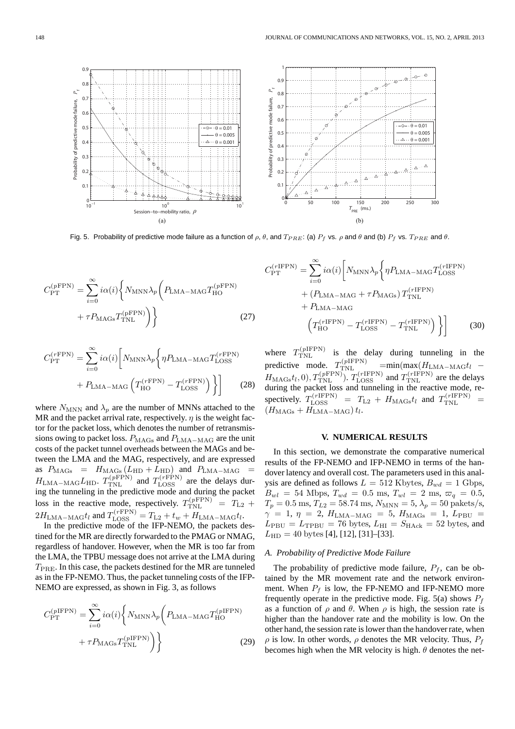

1

Fig. 5. Probability of predictive mode failure as a function of  $ρ, θ$ , and  $T_{PRE}$ : (a)  $P_f$  vs.  $ρ$  and  $θ$  and (b)  $P_f$  vs.  $T_{PRE}$  and  $θ$ .

$$
C_{\text{PT}}^{(pFPN)} = \sum_{i=0}^{\infty} i\alpha(i) \left\{ N_{\text{MNN}} \lambda_p \left( P_{\text{LMA}-\text{MAG}} T_{\text{HO}}^{(pFPN)} + \tau P_{\text{MAGs}} T_{\text{TNL}}^{(pFPN)} \right) \right\}
$$
(27)

$$
C_{\text{PT}}^{(r\text{FPN})} = \sum_{i=0}^{\infty} i\alpha(i) \left[ N_{\text{MNN}} \lambda_p \left\{ \eta P_{\text{LMA-MAG}} T_{\text{LOSS}}^{(r\text{FPN})} + P_{\text{LMA-MAG}} \left( T_{\text{HO}}^{(r\text{FPN})} - T_{\text{LOSS}}^{(r\text{FPN})} \right) \right\} \right]
$$
(28)

where  $N_{\text{MNN}}$  and  $\lambda_p$  are the number of MNNs attached to the MR and the packet arrival rate, respectively.  $\eta$  is the weight factor for the packet loss, which denotes the number of retransmissions owing to packet loss.  $P_{\text{MAGs}}$  and  $P_{\text{LMA}-\text{MAG}}$  are the unit costs of the packet tunnel overheads between the MAGs and between the LMA and the MAG, respectively, and are expressed as  $P_{\text{MAGs}} = H_{\text{MAGs}} (L_{\text{HD}} + L_{\text{HD}})$  and  $P_{\text{LMA}-\text{MAG}}$  $H_{\text{LMA}-\text{MAG}}L_{\text{HD}}$ .  $T_{\text{TNL}}^{(p\text{FPN})}$  and  $T_{\text{LOS}}^{(r\text{FPN})}$  are the delays during the tunneling in the predictive mode and during the packet loss in the reactive mode, respectively.  $T_{\text{TML}}^{(pFPN)}$  $= T_{L2} +$  $2H_{\text{LMA}-\text{MAG}}t_l$  and  $T_{\text{LOSS}}^{(r\text{FPN})} = T_{\text{L2}} + t_w + H_{\text{LMA}-\text{MAG}}t_l$ .

In the predictive mode of the IFP-NEMO, the packets destined for the MR are directly forwarded to the PMAG or NMAG, regardless of handover. However, when the MR is too far from the LMA, the TPBU message does not arrive at the LMA during  $T_{\text{PRE}}$ . In this case, the packets destined for the MR are tunneled as in the FP-NEMO. Thus, the packet tunneling costs of the IFP-NEMO are expressed, as shown in Fig. 3, as follows

$$
C_{\text{PT}}^{(pIFPN)} = \sum_{i=0}^{\infty} i\alpha(i) \left\{ N_{\text{MNN}} \lambda_p \left( P_{\text{LMA}-\text{MAG}} T_{\text{HO}}^{(pIFPN)} + \tau P_{\text{MAGs}} T_{\text{TNL}}^{(pIFPN)} \right) \right\}
$$
(29)

$$
C_{\text{PT}}^{(r\text{IFPN})} = \sum_{i=0}^{\infty} i\alpha(i) \left[ N_{\text{MNN}} \lambda_p \left\{ \eta P_{\text{LMA-MAG}} T_{\text{LOS}}^{(r\text{IFPN})} + (P_{\text{LMA-MAG}} + \tau P_{\text{MAGs}}) T_{\text{TNL}}^{(r\text{IFPN})} + P_{\text{LMA-MAG}} \left( T_{\text{HO}}^{(r\text{IFPN})} - T_{\text{LOSS}}^{(r\text{IFPN})} - T_{\text{TNL}}^{(r\text{IFPN})} \right) \right\} \right]
$$
(30)

where  $T_{\text{TNL}}^{(pIFPN)}$ is the delay during tunneling in the predictive mode.  $T_{\text{TNL}}^{(pIFPN)} = \text{min}(\text{max}(H_{\text{LMA}-\text{MAG}}t_l H_{\text{MAGs}}t_l, 0$ ,  $T_{\text{TNL}}^{(pFPN)}$ ).  $T_{\text{LOSS}}^{(rIFPN)}$  and  $T_{\text{TNL}}^{(rIFPN)}$  are the delays during the packet loss and tunneling in the reactive mode, respectively.  $T_{\text{LOSS}}^{(r_{\text{IFPN}})} = T_{\text{L2}} + H_{\text{MAGs}}t_l$  and  $T_{\text{TNL}}^{(r_{\text{IFPN}})} =$  $(H_{\text{MAGs}} + H_{\text{LMA}-\text{MAG}}) t_l.$ 

#### **V. NUMERICAL RESULTS**

In this section, we demonstrate the comparative numerical results of the FP-NEMO and IFP-NEMO in terms of the handover latency and overall cost. The parameters used in this analysis are defined as follows  $L = 512$  Kbytes,  $B_{wd} = 1$  Gbps,  $B_{wl} = 54 \text{ Mbps}, T_{wd} = 0.5 \text{ ms}, T_{wl} = 2 \text{ ms}, \ \varpi_q = 0.5,$  $T_p = 0.5$  ms,  $T_{L2} = 58.74$  ms,  $N_{\text{MNN}} = 5$ ,  $\lambda_p = 50$  pakets/s,  $\gamma = 1, \eta = 2, H_{\text{LMA}-\text{MAG}} = 5, H_{\text{MAGs}} = 1, L_{\text{PBU}} =$  $L_{\rm PBU} = L_{\rm TPBU} = 76$  bytes,  $L_{\rm HI} = S_{\rm H Ack} = 52$  bytes, and  $L_{HD} = 40$  bytes [4], [12], [31]-[33].

#### *A. Probability of Predictive Mode Failure*

The probability of predictive mode failure,  $P_f$ , can be obtained by the MR movement rate and the network environment. When  $P_f$  is low, the FP-NEMO and IFP-NEMO more frequently operate in the predictive mode. Fig.  $5(a)$  shows  $P_f$ as a function of  $\rho$  and  $\theta$ . When  $\rho$  is high, the session rate is higher than the handover rate and the mobility is low. On the other hand, the session rate is lower than the handover rate, when  $\rho$  is low. In other words,  $\rho$  denotes the MR velocity. Thus,  $P_f$ becomes high when the MR velocity is high.  $\theta$  denotes the net-

0.9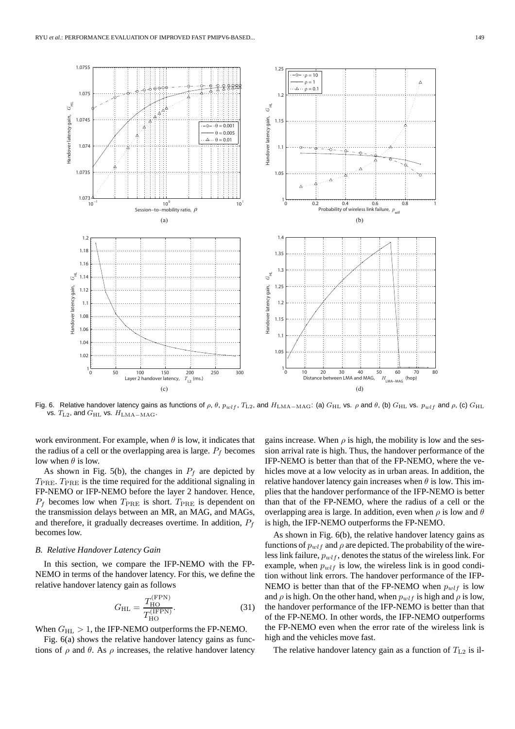

Fig. 6. Relative handover latency gains as functions of  $ρ$ ,  $θ$ ,  $p_{wlf}$ ,  $T_{L2}$ , and  $H_{LMA-MAG}$ : (a)  $G_{HL}$  vs.  $ρ$  and  $θ$ , (b)  $G_{HL}$  vs.  $p_{wlf}$  and  $ρ$ , (c)  $G_{HL}$ vs.  $T_{\text{L2}}$ , and  $G_{\text{HL}}$  vs.  $H_{\text{LMA}-\text{MAG}}$ .

work environment. For example, when  $\theta$  is low, it indicates that the radius of a cell or the overlapping area is large.  $P_f$  becomes low when  $\theta$  is low.

As shown in Fig. 5(b), the changes in  $P_f$  are depicted by  $T_{\text{PRE}}$ .  $T_{\text{PRE}}$  is the time required for the additional signaling in FP-NEMO or IFP-NEMO before the layer 2 handover. Hence,  $P_f$  becomes low when  $T_{\text{PRE}}$  is short.  $T_{\text{PRE}}$  is dependent on the transmission delays between an MR, an MAG, and MAGs, and therefore, it gradually decreases overtime. In addition,  $P_f$ becomes low.

## *B. Relative Handover Latency Gain*

In this section, we compare the IFP-NEMO with the FP-NEMO in terms of the handover latency. For this, we define the relative handover latency gain as follows

$$
G_{\rm HL} = \frac{T_{\rm HD}^{\rm (FPN)}}{T_{\rm HO}^{\rm (IFPN)}}.
$$
 (31)

When  $G_{\text{HL}} > 1$ , the IFP-NEMO outperforms the FP-NEMO.

Fig. 6(a) shows the relative handover latency gains as functions of  $\rho$  and  $\theta$ . As  $\rho$  increases, the relative handover latency gains increase. When  $\rho$  is high, the mobility is low and the session arrival rate is high. Thus, the handover performance of the IFP-NEMO is better than that of the FP-NEMO, where the vehicles move at a low velocity as in urban areas. In addition, the relative handover latency gain increases when  $\theta$  is low. This implies that the handover performance of the IFP-NEMO is better than that of the FP-NEMO, where the radius of a cell or the overlapping area is large. In addition, even when  $\rho$  is low and  $\theta$ is high, the IFP-NEMO outperforms the FP-NEMO.

As shown in Fig. 6(b), the relative handover latency gains as functions of  $p_{wlf}$  and  $\rho$  are depicted. The probability of the wireless link failure,  $p_{wl}$ , denotes the status of the wireless link. For example, when  $p_{w l f}$  is low, the wireless link is in good condition without link errors. The handover performance of the IFP-NEMO is better than that of the FP-NEMO when  $p_{w l f}$  is low and  $\rho$  is high. On the other hand, when  $p_{w l f}$  is high and  $\rho$  is low, the handover performance of the IFP-NEMO is better than that of the FP-NEMO. In other words, the IFP-NEMO outperforms the FP-NEMO even when the error rate of the wireless link is high and the vehicles move fast.

The relative handover latency gain as a function of  $T_{L2}$  is il-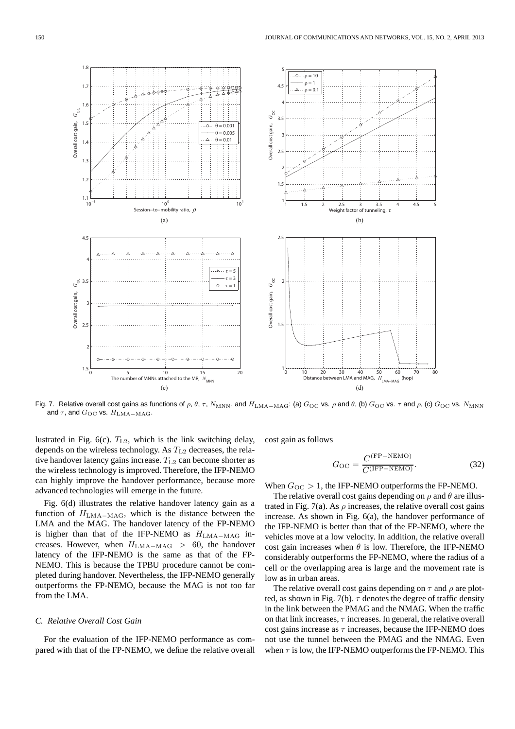

Fig. 7. Relative overall cost gains as functions of  $\rho$ ,  $\theta$ ,  $\tau$ ,  $N_{\rm MNN}$ , and  $H_{\rm LMA-MAG}$ : (a)  $G_{\rm OC}$  vs.  $\rho$  and  $\theta$ , (b)  $G_{\rm OC}$  vs.  $\tau$  and  $\rho$ , (c)  $G_{\rm OC}$  vs.  $N_{\rm MNN}$ and  $\tau$ , and  $G_{\text{OC}}$  vs.  $H_{\text{LMA}-\text{MAG}}$ .

lustrated in Fig. 6(c).  $T_{L2}$ , which is the link switching delay, depends on the wireless technology. As  $T_{L2}$  decreases, the relative handover latency gains increase.  $T<sub>L2</sub>$  can become shorter as the wireless technology is improved. Therefore, the IFP-NEMO can highly improve the handover performance, because more advanced technologies will emerge in the future.

Fig. 6(d) illustrates the relative handover latency gain as a function of  $H_{\text{LMA}-\text{MAG}}$ , which is the distance between the LMA and the MAG. The handover latency of the FP-NEMO is higher than that of the IFP-NEMO as  $H_{\text{LMA}-\text{MAG}}$  increases. However, when  $H_{LMA-MAG} > 60$ , the handover latency of the IFP-NEMO is the same as that of the FP-NEMO. This is because the TPBU procedure cannot be completed during handover. Nevertheless, the IFP-NEMO generally outperforms the FP-NEMO, because the MAG is not too far from the LMA.

# *C. Relative Overall Cost Gain*

For the evaluation of the IFP-NEMO performance as compared with that of the FP-NEMO, we define the relative overall cost gain as follows

$$
G_{\rm OC} = \frac{C^{\rm (FP-NEMO)}}{C^{\rm (IFP-NEMO)}}.
$$
\n(32)

When  $G_{\text{OC}} > 1$ , the IFP-NEMO outperforms the FP-NEMO.

The relative overall cost gains depending on  $\rho$  and  $\theta$  are illustrated in Fig. 7(a). As  $\rho$  increases, the relative overall cost gains increase. As shown in Fig. 6(a), the handover performance of the IFP-NEMO is better than that of the FP-NEMO, where the vehicles move at a low velocity. In addition, the relative overall cost gain increases when  $\theta$  is low. Therefore, the IFP-NEMO considerably outperforms the FP-NEMO, where the radius of a cell or the overlapping area is large and the movement rate is low as in urban areas.

The relative overall cost gains depending on  $\tau$  and  $\rho$  are plotted, as shown in Fig. 7(b).  $\tau$  denotes the degree of traffic density in the link between the PMAG and the NMAG. When the traffic on that link increases,  $\tau$  increases. In general, the relative overall cost gains increase as  $\tau$  increases, because the IFP-NEMO does not use the tunnel between the PMAG and the NMAG. Even when  $\tau$  is low, the IFP-NEMO outperforms the FP-NEMO. This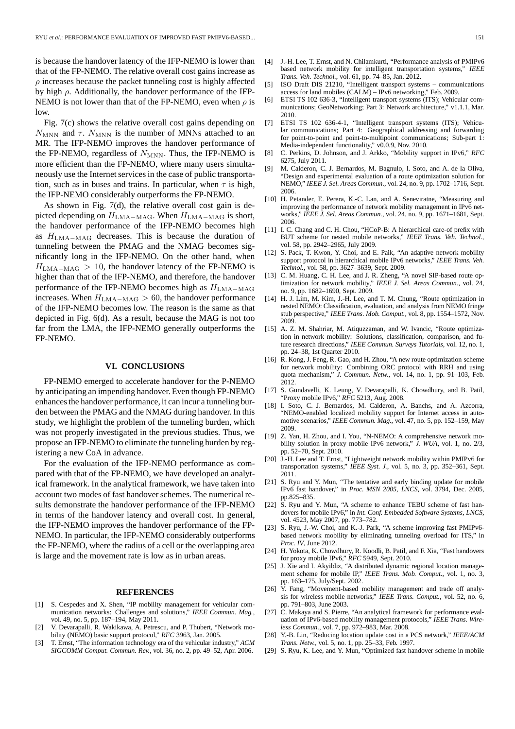is because the handover latency of the IFP-NEMO is lower than that of the FP-NEMO. The relative overall cost gains increase as  $\rho$  increases because the packet tunneling cost is highly affected by high  $\rho$ . Additionally, the handover performance of the IFP-NEMO is not lower than that of the FP-NEMO, even when  $\rho$  is low.

Fig. 7(c) shows the relative overall cost gains depending on  $N_{\text{MNN}}$  and  $\tau$ .  $N_{\text{MNN}}$  is the number of MNNs attached to an MR. The IFP-NEMO improves the handover performance of the FP-NEMO, regardless of  $N_{\text{MNN}}$ . Thus, the IFP-NEMO is more efficient than the FP-NEMO, where many users simultaneously use the Internet services in the case of public transportation, such as in buses and trains. In particular, when  $\tau$  is high, the IFP-NEMO considerably outperforms the FP-NEMO.

As shown in Fig. 7(d), the relative overall cost gain is depicted depending on  $H_{\text{LMA}-\text{MAG}}$ . When  $H_{\text{LMA}-\text{MAG}}$  is short, the handover performance of the IFP-NEMO becomes high as  $H_{\text{LMA}-\text{MAG}}$  decreases. This is because the duration of tunneling between the PMAG and the NMAG becomes significantly long in the IFP-NEMO. On the other hand, when  $H_{LMA-MAG} > 10$ , the handover latency of the FP-NEMO is higher than that of the IFP-NEMO, and therefore, the handover performance of the IFP-NEMO becomes high as  $H_{\text{LMA}-\text{MAG}}$ increases. When  $H_{\text{LMA}-\text{MAG}} > 60$ , the handover performance of the IFP-NEMO becomes low. The reason is the same as that depicted in Fig. 6(d). As a result, because the MAG is not too far from the LMA, the IFP-NEMO generally outperforms the FP-NEMO.

#### **VI. CONCLUSIONS**

FP-NEMO emerged to accelerate handover for the P-NEMO by anticipating an impending handover. Even though FP-NEMO enhances the handover performance, it can incur a tunneling burden between the PMAG and the NMAG during handover. In this study, we highlight the problem of the tunneling burden, which was not properly investigated in the previous studies. Thus, we propose an IFP-NEMO to eliminate the tunneling burden by registering a new CoA in advance.

For the evaluation of the IFP-NEMO performance as compared with that of the FP-NEMO, we have developed an analytical framework. In the analytical framework, we have taken into account two modes of fast handover schemes. The numerical results demonstrate the handover performance of the IFP-NEMO in terms of the handover latency and overall cost. In general, the IFP-NEMO improves the handover performance of the FP-NEMO. In particular, the IFP-NEMO considerably outperforms the FP-NEMO, where the radius of a cell or the overlapping area is large and the movement rate is low as in urban areas.

#### **REFERENCES**

- [1] S. Cespedes and X. Shen, "IP mobility management for vehicular communication networks: Challenges and solutions," *IEEE Commun. Mag.*, vol. 49, no. 5, pp. 187–194, May 2011.
- [2] V. Devarapalli, R. Wakikawa, A. Petrescu, and P. Thubert, "Network mobility (NEMO) basic support protocol," *RFC* 3963, Jan. 2005.
- [3] T. Ernst, "The information technology era of the vehicular industry," *ACM SIGCOMM Comput. Commun. Rev.*, vol. 36, no. 2, pp. 49–52, Apr. 2006.
- [4] J.-H. Lee, T. Ernst, and N. Chilamkurti, "Performance analysis of PMIPv6 based network mobility for intelligent transportation systems," *IEEE Trans. Veh. Technol.*, vol. 61, pp. 74–85, Jan. 2012.
- [5] ISO Draft DIS 21210, "Intelligent transport systems communications access for land mobiles (CALM) – IPv6 networking," Feb. 2009.
- [6] ETSI TS 102 636-3, "Intelligent transport systems (ITS); Vehicular communications; GeoNetworking; Part 3: Network architecture," v1.1.1, Mar. 2010.
- [7] ETSI TS 102 636-4-1, "Intelligent transport systems (ITS); Vehicular communications; Part 4: Geographical addressing and forwarding for point-to-point and point-to-multipoint communications; Sub-part 1: Media-independent functionality," v0.0.9, Nov. 2010.
- [8] C. Perkins, D. Johnson, and J. Arkko, "Mobility support in IPv6," *RFC* 6275, July 2011.
- [9] M. Calderon, C. J. Bernardos, M. Bagnulo, I. Soto, and A. de la Oliva, "Design and experimental evaluation of a route optimization solution for NEMO," *IEEE J. Sel. Areas Commun.*, vol. 24, no. 9, pp. 1702–1716, Sept. 2006.
- [10] H. Petander, E. Perera, K.-C. Lan, and A. Seneviratne, "Measuring and improving the performance of network mobility management in IPv6 networks," *IEEE J. Sel. Areas Commun.*, vol. 24, no. 9, pp. 1671–1681, Sept. 2006.
- [11] I. C. Chang and C. H. Chou, "HCoP-B: A hierarchical care-of prefix with BUT scheme for nested mobile networks," *IEEE Trans. Veh. Technol.*, vol. 58, pp. 2942–2965, July 2009.
- [12] S. Pack, T. Kwon, Y. Choi, and E. Paik, "An adaptive network mobility support protocol in hierarchical mobile IPv6 networks," *IEEE Trans. Veh. Technol.*, vol. 58, pp. 3627–3639, Sept. 2009.
- [13] C. M. Huang, C. H. Lee, and J. R. Zheng, "A novel SIP-based route optimization for network mobility," *IEEE J. Sel. Areas Commun.*, vol. 24, no. 9, pp. 1682–1690, Sept. 2009.
- [14] H. J. Lim, M. Kim, J.-H. Lee, and T. M. Chung, "Route optimization in nested NEMO: Classification, evaluation, and analysis from NEMO fringe stub perspective," *IEEE Trans. Mob. Comput.*, vol. 8, pp. 1554–1572, Nov. 2009.
- [15] A. Z. M. Shahriar, M. Atiquzzaman, and W. Ivancic, "Route optimization in network mobility: Solutions, classification, comparison, and future research directions," *IEEE Commun. Surveys Tutorials*, vol. 12, no. 1, pp. 24–38, 1st Quarter 2010.
- [16] R. Kong, J. Feng, R. Gao, and H. Zhou, "A new route optimization scheme for network mobility: Combining ORC protocol with RRH and using quota mechanism," *J. Commun. Netw.*, vol. 14, no. 1, pp. 91–103, Feb. 2012.
- [17] S. Gundavelli, K. Leung, V. Devarapalli, K. Chowdhury, and B. Patil, "Proxy mobile IPv6," *RFC* 5213, Aug. 2008.
- [18] I. Soto, C. J. Bernardos, M. Calderon, A. Banchs, and A. Azcorra, "NEMO-enabled localized mobility support for Internet access in automotive scenarios," *IEEE Commun. Mag.*, vol. 47, no. 5, pp. 152–159, May 2009.
- [19] Z. Yan, H. Zhou, and I. You, "N-NEMO: A comprehensive network mobility solution in proxy mobile IPv6 network," *J. WUA*, vol. 1, no. 2/3, pp. 52–70, Sept. 2010.
- [20] J.-H. Lee and T. Ernst, "Lightweight network mobility within PMIPv6 for transportation systems," *IEEE Syst. J.*, vol. 5, no. 3, pp. 352–361, Sept. 2011.
- [21] S. Ryu and Y. Mun, "The tentative and early binding update for mobile IPv6 fast handover," in *Proc. MSN 2005*, *LNCS*, vol. 3794, Dec. 2005, pp.825–835.
- [22] S. Ryu and Y. Mun, "A scheme to enhance TEBU scheme of fast handovers for mobile IPv6," in *Int. Conf. Embedded Software Systems*, *LNCS*, vol. 4523, May 2007, pp. 773–782.
- [23] S. Ryu, J.-W. Choi, and K.-J. Park, "A scheme improving fast PMIPv6based network mobility by eliminating tunneling overload for ITS," in *Proc. IV*, June 2012.
- [24] H. Yokota, K. Chowdhury, R. Koodli, B. Patil, and F. Xia, "Fast handovers for proxy mobile IPv6," *RFC* 5949, Sept. 2010.
- [25] J. Xie and I. Akyildiz, "A distributed dynamic regional location management scheme for mobile IP," *IEEE Trans. Mob. Comput.*, vol. 1, no. 3, pp. 163–175, July/Sept. 2002.
- [26] Y. Fang, "Movement-based mobility management and trade off analysis for wireless mobile networks," *IEEE Trans. Comput.*, vol. 52, no. 6, pp. 791–803, June 2003.
- [27] C. Makaya and S. Pierre, "An analytical framework for performance evaluation of IPv6-based mobility management protocols," *IEEE Trans. Wireless Commun.*, vol. 7, pp. 972–983, Mar. 2008.
- [28] Y.-B. Lin, "Reducing location update cost in a PCS network," *IEEE/ACM Trans. Netw.*, vol. 5, no. 1, pp. 25–33, Feb. 1997.
- [29] S. Ryu, K. Lee, and Y. Mun, "Optimized fast handover scheme in mobile